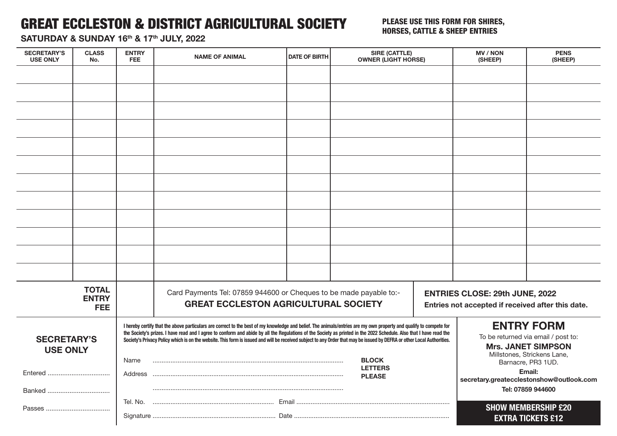## GREAT ECCLESTON & DISTRICT AGRICULTURAL SOCIETY

## PLEASE USE THIS FORM FOR SHIRES, HORSES, CATTLE & SHEEP ENTRIES

SATURDAY & SUNDAY 16th & 17th JULY, 2022

| <b>SECRETARY'S</b><br><b>USE ONLY</b> | <b>CLASS</b><br>No.                        | <b>ENTRY</b><br><b>FEE</b> | <b>NAME OF ANIMAL</b>                                                                                                                                                                                                                                                                                                                                                                                                                                                                                                | <b>DATE OF BIRTH</b> | <b>SIRE (CATTLE)</b><br><b>OWNER (LIGHT HORSE)</b> |  | <b>MV/NON</b><br>(SHEEP)                                                                                             | <b>PENS</b><br>(SHEEP)     |
|---------------------------------------|--------------------------------------------|----------------------------|----------------------------------------------------------------------------------------------------------------------------------------------------------------------------------------------------------------------------------------------------------------------------------------------------------------------------------------------------------------------------------------------------------------------------------------------------------------------------------------------------------------------|----------------------|----------------------------------------------------|--|----------------------------------------------------------------------------------------------------------------------|----------------------------|
|                                       |                                            |                            |                                                                                                                                                                                                                                                                                                                                                                                                                                                                                                                      |                      |                                                    |  |                                                                                                                      |                            |
|                                       |                                            |                            |                                                                                                                                                                                                                                                                                                                                                                                                                                                                                                                      |                      |                                                    |  |                                                                                                                      |                            |
|                                       |                                            |                            |                                                                                                                                                                                                                                                                                                                                                                                                                                                                                                                      |                      |                                                    |  |                                                                                                                      |                            |
|                                       |                                            |                            |                                                                                                                                                                                                                                                                                                                                                                                                                                                                                                                      |                      |                                                    |  |                                                                                                                      |                            |
|                                       |                                            |                            |                                                                                                                                                                                                                                                                                                                                                                                                                                                                                                                      |                      |                                                    |  |                                                                                                                      |                            |
|                                       |                                            |                            |                                                                                                                                                                                                                                                                                                                                                                                                                                                                                                                      |                      |                                                    |  |                                                                                                                      |                            |
|                                       |                                            |                            |                                                                                                                                                                                                                                                                                                                                                                                                                                                                                                                      |                      |                                                    |  |                                                                                                                      |                            |
|                                       |                                            |                            |                                                                                                                                                                                                                                                                                                                                                                                                                                                                                                                      |                      |                                                    |  |                                                                                                                      |                            |
|                                       |                                            |                            |                                                                                                                                                                                                                                                                                                                                                                                                                                                                                                                      |                      |                                                    |  |                                                                                                                      |                            |
|                                       |                                            |                            |                                                                                                                                                                                                                                                                                                                                                                                                                                                                                                                      |                      |                                                    |  |                                                                                                                      |                            |
|                                       |                                            |                            |                                                                                                                                                                                                                                                                                                                                                                                                                                                                                                                      |                      |                                                    |  |                                                                                                                      |                            |
|                                       |                                            |                            |                                                                                                                                                                                                                                                                                                                                                                                                                                                                                                                      |                      |                                                    |  |                                                                                                                      |                            |
|                                       | <b>TOTAL</b><br><b>ENTRY</b><br><b>FEE</b> |                            | Card Payments Tel: 07859 944600 or Cheques to be made payable to:-<br><b>GREAT ECCLESTON AGRICULTURAL SOCIETY</b>                                                                                                                                                                                                                                                                                                                                                                                                    |                      |                                                    |  | ENTRIES CLOSE: 29th JUNE, 2022<br>Entries not accepted if received after this date.                                  |                            |
| <b>SECRETARY'S</b><br><b>USE ONLY</b> |                                            |                            | I hereby certify that the above particulars are correct to the best of my knowledge and belief. The animals/entries are my own property and qualify to compete for<br>the Society's prizes. I have read and I agree to conform and abide by all the Regulations of the Society as printed in the 2022 Schedule. Also that I have read the<br>Society's Privacy Policy which is on the website. This form is issued and will be received subject to any Order that may be issued by DEFRA or other Local Authorities. |                      |                                                    |  | <b>ENTRY FORM</b><br>To be returned via email / post to:<br><b>Mrs. JANET SIMPSON</b><br>Millstones, Strickens Lane, |                            |
|                                       |                                            | Name                       | <b>BLOCK</b><br><b>LETTERS</b><br><b>PLEASE</b>                                                                                                                                                                                                                                                                                                                                                                                                                                                                      |                      |                                                    |  | Barnacre, PR3 1UD.<br>Email:<br>secretary.greatecclestonshow@outlook.com<br>Tel: 07859 944600                        |                            |
|                                       |                                            |                            |                                                                                                                                                                                                                                                                                                                                                                                                                                                                                                                      |                      |                                                    |  |                                                                                                                      | <b>SHOW MEMBERSHIP £20</b> |
|                                       |                                            |                            |                                                                                                                                                                                                                                                                                                                                                                                                                                                                                                                      |                      |                                                    |  |                                                                                                                      | <b>EXTRA TICKETS £12</b>   |